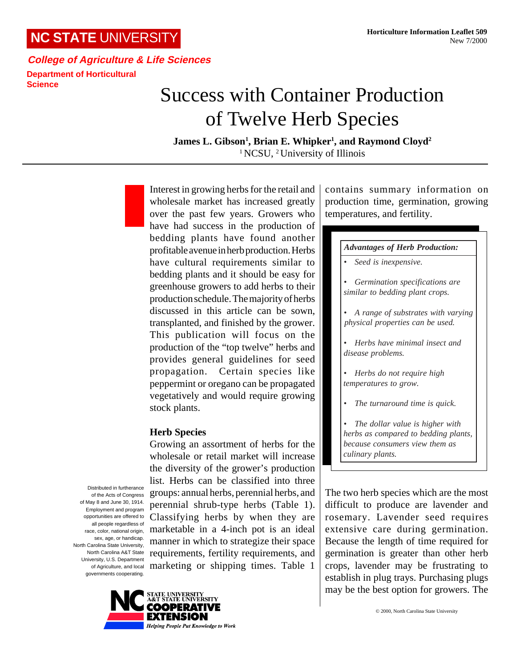# **NC STATE** UNIVERSITY

**College of Agriculture & Life Sciences Department of Horticultural Science**

# Success with Container Production of Twelve Herb Species

James L. Gibson<sup>1</sup>, Brian E. Whipker<sup>1</sup>, and Raymond Cloyd<sup>2</sup> <sup>1</sup> NCSU, <sup>2</sup> University of Illinois

Interest in growing herbs for the retail and wholesale market has increased greatly over the past few years. Growers who have had success in the production of bedding plants have found another profitable avenue in herb production. Herbs have cultural requirements similar to bedding plants and it should be easy for greenhouse growers to add herbs to their production schedule. The majority of herbs discussed in this article can be sown, transplanted, and finished by the grower. This publication will focus on the production of the "top twelve" herbs and provides general guidelines for seed propagation. Certain species like peppermint or oregano can be propagated vegetatively and would require growing stock plants.

#### **Herb Species**

Growing an assortment of herbs for the wholesale or retail market will increase the diversity of the grower's production list. Herbs can be classified into three groups: annual herbs, perennial herbs, and perennial shrub-type herbs (Table 1). Classifying herbs by when they are marketable in a 4-inch pot is an ideal manner in which to strategize their space requirements, fertility requirements, and marketing or shipping times. Table 1

Distributed in furtherance of the Acts of Congress of May 8 and June 30, 1914. Employment and program opportunities are offered to all people regardless of race, color, national origin, sex, age, or handicap. North Carolina State University, North Carolina A&T State University, U.S. Department of Agriculture, and local governments cooperating.



contains summary information on production time, germination, growing temperatures, and fertility.

#### *Advantages of Herb Production:*

- *• Seed is inexpensive.*
- *• Germination specifications are similar to bedding plant crops.*
- *• A range of substrates with varying physical properties can be used.*
- *• Herbs have minimal insect and disease problems.*
- *• Herbs do not require high temperatures to grow.*
- *• The turnaround time is quick.*
- *• The dollar value is higher with herbs as compared to bedding plants, because consumers view them as culinary plants.*

The two herb species which are the most difficult to produce are lavender and rosemary. Lavender seed requires extensive care during germination. Because the length of time required for germination is greater than other herb crops, lavender may be frustrating to establish in plug trays. Purchasing plugs may be the best option for growers. The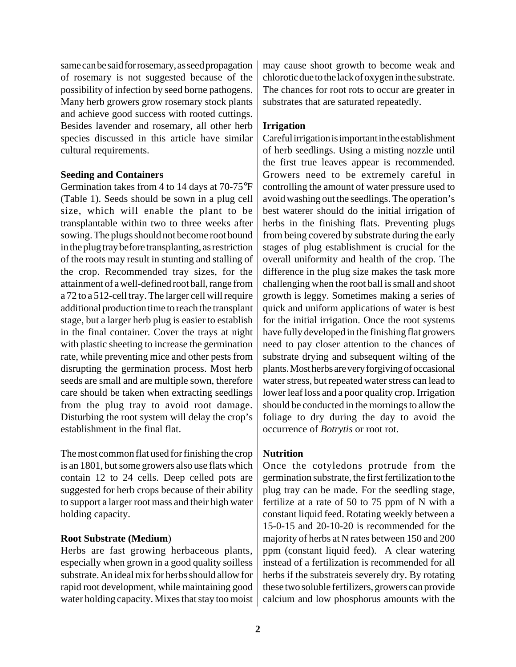same can be said for rosemary, as seed propagation of rosemary is not suggested because of the possibility of infection by seed borne pathogens. Many herb growers grow rosemary stock plants and achieve good success with rooted cuttings. Besides lavender and rosemary, all other herb species discussed in this article have similar cultural requirements.

#### **Seeding and Containers**

Germination takes from 4 to 14 days at 70-75°F (Table 1). Seeds should be sown in a plug cell size, which will enable the plant to be transplantable within two to three weeks after sowing. The plugs should not become root bound in the plug tray before transplanting, as restriction of the roots may result in stunting and stalling of the crop. Recommended tray sizes, for the attainment of a well-defined root ball, range from a 72 to a 512-cell tray. The larger cell will require additional production time to reach the transplant stage, but a larger herb plug is easier to establish in the final container. Cover the trays at night with plastic sheeting to increase the germination rate, while preventing mice and other pests from disrupting the germination process. Most herb seeds are small and are multiple sown, therefore care should be taken when extracting seedlings from the plug tray to avoid root damage. Disturbing the root system will delay the crop's establishment in the final flat.

The most common flat used for finishing the crop is an 1801, but some growers also use flats which contain 12 to 24 cells. Deep celled pots are suggested for herb crops because of their ability to support a larger root mass and their high water holding capacity.

#### **Root Substrate (Medium**)

Herbs are fast growing herbaceous plants, especially when grown in a good quality soilless substrate. An ideal mix for herbs should allow for rapid root development, while maintaining good water holding capacity. Mixes that stay too moist

may cause shoot growth to become weak and chlorotic due to the lack of oxygen in the substrate. The chances for root rots to occur are greater in substrates that are saturated repeatedly.

### **Irrigation**

Careful irrigation is important in the establishment of herb seedlings. Using a misting nozzle until the first true leaves appear is recommended. Growers need to be extremely careful in controlling the amount of water pressure used to avoid washing out the seedlings. The operation's best waterer should do the initial irrigation of herbs in the finishing flats. Preventing plugs from being covered by substrate during the early stages of plug establishment is crucial for the overall uniformity and health of the crop. The difference in the plug size makes the task more challenging when the root ball is small and shoot growth is leggy. Sometimes making a series of quick and uniform applications of water is best for the initial irrigation. Once the root systems have fully developed in the finishing flat growers need to pay closer attention to the chances of substrate drying and subsequent wilting of the plants. Most herbs are very forgiving of occasional water stress, but repeated water stress can lead to lower leaf loss and a poor quality crop. Irrigation should be conducted in the mornings to allow the foliage to dry during the day to avoid the occurrence of *Botrytis* or root rot.

# **Nutrition**

Once the cotyledons protrude from the germination substrate, the first fertilization to the plug tray can be made. For the seedling stage, fertilize at a rate of 50 to 75 ppm of N with a constant liquid feed. Rotating weekly between a 15-0-15 and 20-10-20 is recommended for the majority of herbs at N rates between 150 and 200 ppm (constant liquid feed). A clear watering instead of a fertilization is recommended for all herbs if the substrateis severely dry. By rotating these two soluble fertilizers, growers can provide calcium and low phosphorus amounts with the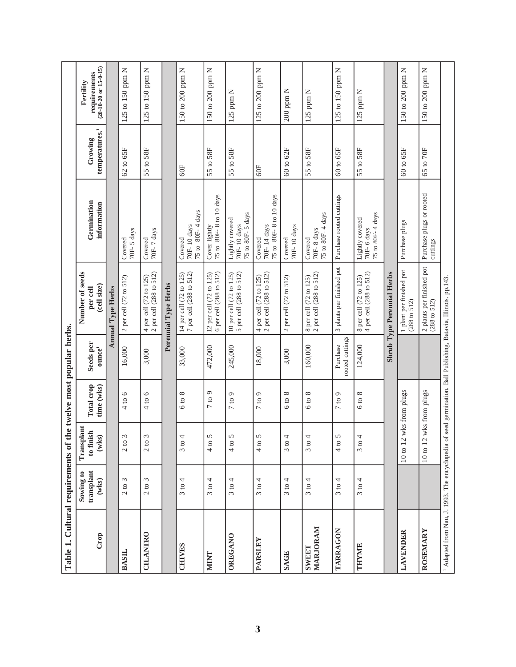| Table 1. Cultural requirements of                                                                                         |                                        |                                        |                             | the twelve most popular herbs.  |                                                                           |                                                    |                                       |                                                         |
|---------------------------------------------------------------------------------------------------------------------------|----------------------------------------|----------------------------------------|-----------------------------|---------------------------------|---------------------------------------------------------------------------|----------------------------------------------------|---------------------------------------|---------------------------------------------------------|
| Crop                                                                                                                      | transplant<br>Sowing to<br>$(w$ ks $)$ | Transplant<br>to finish<br>$(w$ ks)    | Total crop<br>time (wks)    | Seeds per<br>$\mathbf{ounce}^1$ | Number of seeds<br>(cell size)<br>per cell                                | Germination<br>information                         | temperatures. <sup>1</sup><br>Growing | $(20-10-20)$ or $15-0-15)$<br>requirements<br>Fertility |
|                                                                                                                           |                                        |                                        |                             |                                 | <b>Annual Type Herbs</b>                                                  |                                                    |                                       |                                                         |
| <b>BASIL</b>                                                                                                              | 3<br>2 to                              | $\tilde{\xi}$<br>2 to                  | 4 to 6                      | 16,000                          | 2 per cell (72 to 512)                                                    | 70F-5 days<br>Covered                              | 62 to 65F                             | 125 to 150 ppm N                                        |
| <b>CILANTRO</b>                                                                                                           | 3<br>2 to                              | 3<br>2 to                              | 4 to 6                      | 3,000                           | 4 per cell (72 to 125)<br>2 per cell (288 to 512)                         | 70F-7 days<br>Covered                              | 55 to 58F                             | 125 to 150 ppm N                                        |
|                                                                                                                           |                                        |                                        |                             |                                 | Perennial Type Herbs                                                      |                                                    |                                       |                                                         |
| <b>CHIVES</b>                                                                                                             | 4<br>3 to                              | 4<br>$\circ$<br>$\omega$               | $\infty$<br>6 <sub>to</sub> | 33,000                          | 7 per cell (288 to 512)<br>14 per cell (72 to 125)                        | 75 to 80F-4 days<br>70F-10 days<br>Covered         | $60$ F                                | 150 to 200 ppm N                                        |
| <b>NIINT</b>                                                                                                              | 4<br>3 to                              | 5<br>4 to                              | $7$ to $9$                  | 472,000                         | 12 per cell $(72 \text{ to } 125)$<br>6 per cell $(288 \text{ to } 512)$  | 75 to 80F-8 to 10 days<br>Cover lightly            | 55 to 58F                             | 150 to 200 ppm N                                        |
| OREGANO                                                                                                                   | 3 to 4                                 | 5<br>4 to                              | $7$ to $9$                  | 245,000                         | 5 per cell (288 to 512)<br>10 per cell (72 to 125)                        | 75 to 80F-5 days<br>Lightly covered<br>70F-10 days | 55 to 58F                             | $125$ ppm $N$                                           |
| <b>PARSLEY</b>                                                                                                            | 3 to 4                                 | $\mathbf{S}$<br>4t0                    | $7$ to $9$                  | 18,000                          | per cell (288 to 512)<br>4 per cell (72 to 125)<br>2 per cell (288 to 512 | 75 to 80F-8 to 10 days<br>70F-14 days<br>Covered   | $60$ F                                | 125 to 200 ppm N                                        |
| SAGE                                                                                                                      | 4<br>$\circ$<br>$\infty$               | 4<br>$\mathbf{c}$<br>$\omega$          | $^{\circ}$<br>6 to          | 3,000                           | 2 per cell (72 to 512)                                                    | 70F-10 days<br>Covered                             | 60 to 62F                             | $200$ ppm $N$                                           |
| MARJORAM<br><b>SWEET</b>                                                                                                  | 4<br>3 to                              | 4<br>$\mathbf{c}$<br>$\omega$          | $6$ to $8$                  | 160,000                         | $8$ per cell $(72$ to $125)$ $2$ per cell $(288$ to $512)$                | 75 to 80F-4 days<br>70F-8 days<br>Covered          | 55 to 58F                             | $125$ ppm $N$                                           |
| TARRAGON                                                                                                                  | 4<br>3 to.                             | $\mathsf{\Omega}$<br>$\mathbf{c}$<br>4 | $7$ to $9$                  | rooted cuttings<br>Purchase     | 3 plants per finished pot                                                 | Purchase rooted cuttings                           | 60 to 65F                             | 125 to 150 ppm N                                        |
| THYME                                                                                                                     | 3 to 4                                 | 4<br>3 to                              | $6 \text{ to } 8$           | 124,000                         | 4 per cell (288 to 512)<br>8 per cell (72 to 125)                         | 75 to 80F-4 days<br>Lightly covered<br>70F-6 days  | 55 to 58F                             | $125$ ppm $N$                                           |
|                                                                                                                           |                                        |                                        |                             |                                 | <b>Shrub Type Perennial Herbs</b>                                         |                                                    |                                       |                                                         |
| LAVENDER                                                                                                                  |                                        | 10 to 12                               | wks from plugs              |                                 | 1 plant per finished pot<br>(288 to 512)                                  | Purchase plugs                                     | 60 to 65F                             | 150 to 200 ppm N                                        |
| ROSEMARY                                                                                                                  |                                        | 10 to 12                               | wks from plugs              |                                 | 2 plants per finished pot<br>(288 to 512)                                 | Purchase plugs or rooted<br>cuttings               | 65 to 70F                             | 150 to 200 ppm N                                        |
| <sup>1</sup> Adapted from Nau, J. 1993. The encyclopedia of seed germination. Ball Publishing, Batavia, Illinois. pp.143. |                                        |                                        |                             |                                 |                                                                           |                                                    |                                       |                                                         |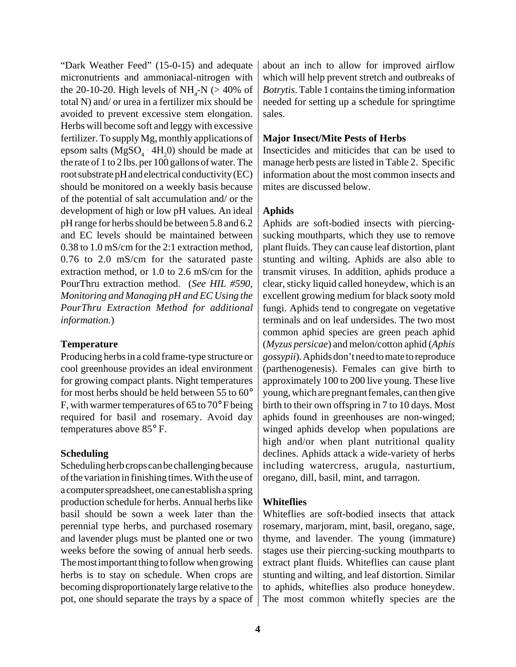"Dark Weather Feed" (15-0-15) and adequate micronutrients and ammoniacal-nitrogen with the 20-10-20. High levels of  $NH_{4}$ -N (> 40% of total N) and/ or urea in a fertilizer mix should be avoided to prevent excessive stem elongation. Herbs will become soft and leggy with excessive fertilizer. To supply Mg, monthly applications of epsom salts (MgSO<sub>4</sub> ·  $4H_2O$ ) should be made at the rate of 1 to 2 lbs. per  $100$  gallons of water. The root substrate pH and electrical conductivity (EC) should be monitored on a weekly basis because of the potential of salt accumulation and/ or the development of high or low pH values. An ideal pH range for herbs should be between 5.8 and 6.2 and EC levels should be maintained between 0.38 to 1.0 mS/cm for the 2:1 extraction method, 0.76 to 2.0 mS/cm for the saturated paste extraction method, or 1.0 to 2.6 mS/cm for the PourThru extraction method. (*See HIL #590, Monitoring and Managing pH and EC Using the PourThru Extraction Method for additional information.*)

# **Temperature**

Producing herbs in a cold frame-type structure or cool greenhouse provides an ideal environment for growing compact plants. Night temperatures for most herbs should be held between 55 to 60° F, with warmer temperatures of 65 to 70° F being required for basil and rosemary. Avoid day temperatures above 85° F.

# **Scheduling**

Scheduling herb crops can be challenging because of the variation in finishing times. With the use of a computer spreadsheet, one can establish a spring production schedule for herbs. Annual herbs like basil should be sown a week later than the perennial type herbs, and purchased rosemary and lavender plugs must be planted one or two weeks before the sowing of annual herb seeds. The most important thing to follow when growing herbs is to stay on schedule. When crops are becoming disproportionately large relative to the pot, one should separate the trays by a space of

about an inch to allow for improved airflow which will help prevent stretch and outbreaks of *Botrytis*. Table 1 contains the timing information needed for setting up a schedule for springtime sales.

# **Major Insect/Mite Pests of Herbs**

Insecticides and miticides that can be used to manage herb pests are listed in Table 2. Specific information about the most common insects and mites are discussed below.

# **Aphids**

Aphids are soft-bodied insects with piercingsucking mouthparts, which they use to remove plant fluids. They can cause leaf distortion, plant stunting and wilting. Aphids are also able to transmit viruses. In addition, aphids produce a clear, sticky liquid called honeydew, which is an excellent growing medium for black sooty mold fungi. Aphids tend to congregate on vegetative terminals and on leaf undersides. The two most common aphid species are green peach aphid (*Myzus persicae*) and melon/cotton aphid (*Aphis gossypii*). Aphids don't need to mate to reproduce (parthenogenesis). Females can give birth to approximately 100 to 200 live young. These live young, which are pregnant females, can then give birth to their own offspring in 7 to 10 days. Most aphids found in greenhouses are non-winged; winged aphids develop when populations are high and/or when plant nutritional quality declines. Aphids attack a wide-variety of herbs including watercress, arugula, nasturtium, oregano, dill, basil, mint, and tarragon.

# **Whiteflies**

Whiteflies are soft-bodied insects that attack rosemary, marjoram, mint, basil, oregano, sage, thyme, and lavender. The young (immature) stages use their piercing-sucking mouthparts to extract plant fluids. Whiteflies can cause plant stunting and wilting, and leaf distortion. Similar to aphids, whiteflies also produce honeydew. The most common whitefly species are the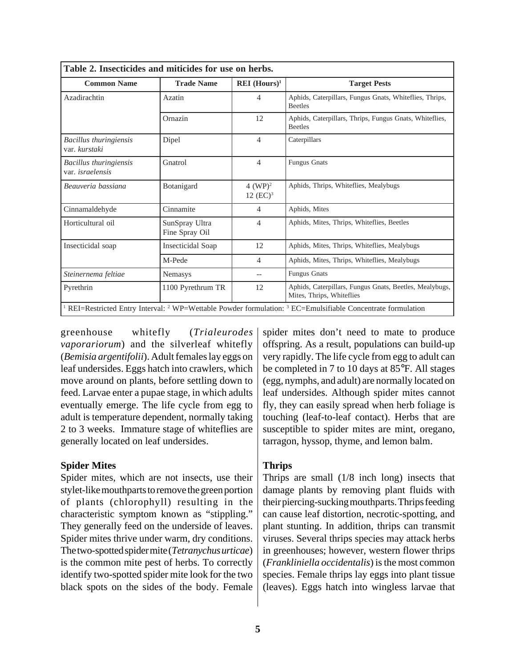| Table 2. Insecticides and miticides for use on herbs. |                                  |                            |                                                                                                                                  |
|-------------------------------------------------------|----------------------------------|----------------------------|----------------------------------------------------------------------------------------------------------------------------------|
| <b>Common Name</b>                                    | <b>Trade Name</b>                | $REI$ (Hours) <sup>1</sup> | <b>Target Pests</b>                                                                                                              |
| Azadirachtin                                          | Azatin                           | $\overline{4}$             | Aphids, Caterpillars, Fungus Gnats, Whiteflies, Thrips,<br><b>Beetles</b>                                                        |
|                                                       | Ornazin                          | 12                         | Aphids, Caterpillars, Thrips, Fungus Gnats, Whiteflies,<br><b>Beetles</b>                                                        |
| Bacillus thuringiensis<br>var. kurstaki               | Dipel                            | $\overline{4}$             | Caterpillars                                                                                                                     |
| Bacillus thuringiensis<br>var. <i>israelensis</i>     | Gnatrol                          | $\overline{4}$             | <b>Fungus Gnats</b>                                                                                                              |
| Beauveria bassiana                                    | Botanigard                       | $4 (WP)^2$<br>12 $(EC)^3$  | Aphids, Thrips, Whiteflies, Mealybugs                                                                                            |
| Cinnamaldehyde                                        | Cinnamite                        | 4                          | Aphids, Mites                                                                                                                    |
| Horticultural oil                                     | SunSpray Ultra<br>Fine Spray Oil | 4                          | Aphids, Mites, Thrips, Whiteflies, Beetles                                                                                       |
| Insecticidal soap                                     | <b>Insecticidal Soap</b>         | 12                         | Aphids, Mites, Thrips, Whiteflies, Mealybugs                                                                                     |
|                                                       | M-Pede                           | $\overline{4}$             | Aphids, Mites, Thrips, Whiteflies, Mealybugs                                                                                     |
| Steinernema feltiae                                   | Nemasys                          | $- -$                      | <b>Fungus Gnats</b>                                                                                                              |
| Pyrethrin                                             | 1100 Pyrethrum TR                | 12                         | Aphids, Caterpillars, Fungus Gnats, Beetles, Mealybugs,<br>Mites, Thrips, Whiteflies                                             |
|                                                       |                                  |                            | REI=Restricted Entry Interval: <sup>2</sup> WP=Wettable Powder formulation: <sup>3</sup> EC=Emulsifiable Concentrate formulation |

greenhouse whitefly (*Trialeurodes vaporariorum*) and the silverleaf whitefly (*Bemisia argentifolii*). Adult females lay eggs on leaf undersides. Eggs hatch into crawlers, which move around on plants, before settling down to feed. Larvae enter a pupae stage, in which adults eventually emerge. The life cycle from egg to adult is temperature dependent, normally taking 2 to 3 weeks. Immature stage of whiteflies are generally located on leaf undersides.

#### **Spider Mites**

Spider mites, which are not insects, use their stylet-like mouthparts to remove the green portion of plants (chlorophyll) resulting in the characteristic symptom known as "stippling." They generally feed on the underside of leaves. Spider mites thrive under warm, dry conditions. The two-spotted spider mite (*Tetranychus urticae*) is the common mite pest of herbs. To correctly identify two-spotted spider mite look for the two black spots on the sides of the body. Female

spider mites don't need to mate to produce offspring. As a result, populations can build-up very rapidly. The life cycle from egg to adult can be completed in 7 to 10 days at 85°F. All stages (egg, nymphs, and adult) are normally located on leaf undersides. Although spider mites cannot fly, they can easily spread when herb foliage is touching (leaf-to-leaf contact). Herbs that are susceptible to spider mites are mint, oregano, tarragon, hyssop, thyme, and lemon balm.

# **Thrips**

Thrips are small (1/8 inch long) insects that damage plants by removing plant fluids with their piercing-sucking mouthparts. Thrips feeding can cause leaf distortion, necrotic-spotting, and plant stunting. In addition, thrips can transmit viruses. Several thrips species may attack herbs in greenhouses; however, western flower thrips (*Frankliniella occidentalis*) is the most common species. Female thrips lay eggs into plant tissue (leaves). Eggs hatch into wingless larvae that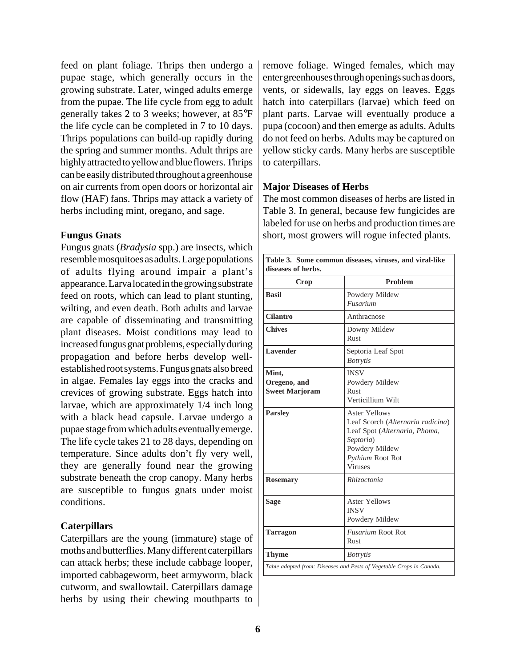feed on plant foliage. Thrips then undergo a pupae stage, which generally occurs in the growing substrate. Later, winged adults emerge from the pupae. The life cycle from egg to adult generally takes 2 to 3 weeks; however, at 85°F the life cycle can be completed in 7 to 10 days. Thrips populations can build-up rapidly during the spring and summer months. Adult thrips are highly attracted to yellow and blue flowers. Thrips can be easily distributed throughout a greenhouse on air currents from open doors or horizontal air flow (HAF) fans. Thrips may attack a variety of herbs including mint, oregano, and sage.

#### **Fungus Gnats**

Fungus gnats (*Bradysia* spp.) are insects, which resemble mosquitoes as adults. Large populations of adults flying around impair a plant's appearance. Larva located in the growing substrate feed on roots, which can lead to plant stunting, wilting, and even death. Both adults and larvae are capable of disseminating and transmitting plant diseases. Moist conditions may lead to increased fungus gnat problems, especially during propagation and before herbs develop wellestablished root systems. Fungus gnats also breed in algae. Females lay eggs into the cracks and crevices of growing substrate. Eggs hatch into larvae, which are approximately 1/4 inch long with a black head capsule. Larvae undergo a pupae stage from which adults eventually emerge. The life cycle takes 21 to 28 days, depending on temperature. Since adults don't fly very well, they are generally found near the growing substrate beneath the crop canopy. Many herbs are susceptible to fungus gnats under moist conditions.

# **Caterpillars**

Caterpillars are the young (immature) stage of moths and butterflies. Many different caterpillars can attack herbs; these include cabbage looper, imported cabbageworm, beet armyworm, black cutworm, and swallowtail. Caterpillars damage herbs by using their chewing mouthparts to remove foliage. Winged females, which may enter greenhouses through openings such as doors, vents, or sidewalls, lay eggs on leaves. Eggs hatch into caterpillars (larvae) which feed on plant parts. Larvae will eventually produce a pupa (cocoon) and then emerge as adults. Adults do not feed on herbs. Adults may be captured on yellow sticky cards. Many herbs are susceptible to caterpillars.

### **Major Diseases of Herbs**

The most common diseases of herbs are listed in Table 3. In general, because few fungicides are labeled for use on herbs and production times are short, most growers will rogue infected plants.

| Table 3. Some common diseases, viruses, and viral-like<br>diseases of herbs. |                                                                                                                                                                 |  |  |  |
|------------------------------------------------------------------------------|-----------------------------------------------------------------------------------------------------------------------------------------------------------------|--|--|--|
| Crop                                                                         | Problem                                                                                                                                                         |  |  |  |
| <b>Basil</b>                                                                 | Powdery Mildew<br>Fusarium                                                                                                                                      |  |  |  |
| <b>Cilantro</b>                                                              | Anthracnose                                                                                                                                                     |  |  |  |
| <b>Chives</b>                                                                | Downy Mildew<br><b>Rust</b>                                                                                                                                     |  |  |  |
| Lavender                                                                     | Septoria Leaf Spot<br><b>Botrytis</b>                                                                                                                           |  |  |  |
| Mint,<br>Oregeno, and<br><b>Sweet Marjoram</b>                               | <b>INSV</b><br>Powdery Mildew<br>Rust<br>Verticillium Wilt                                                                                                      |  |  |  |
| <b>Parsley</b>                                                               | <b>Aster Yellows</b><br>Leaf Scorch (Alternaria radicina)<br>Leaf Spot (Alternaria, Phoma,<br>Septoria)<br>Powdery Mildew<br>Pythium Root Rot<br><b>Viruses</b> |  |  |  |
| <b>Rosemary</b>                                                              | Rhizoctonia                                                                                                                                                     |  |  |  |
| <b>Aster Yellows</b><br><b>Sage</b><br><b>INSV</b><br>Powdery Mildew         |                                                                                                                                                                 |  |  |  |
| <b>Tarragon</b>                                                              | <b>Fusarium Root Rot</b><br>Rust                                                                                                                                |  |  |  |
| Thyme                                                                        | <b>Botrytis</b>                                                                                                                                                 |  |  |  |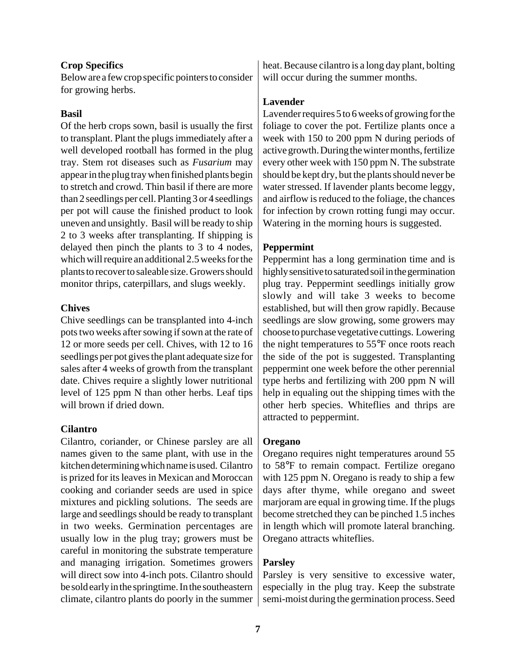#### **Crop Specifics**

Below are a few crop specific pointers to consider for growing herbs.

#### **Basil**

Of the herb crops sown, basil is usually the first to transplant. Plant the plugs immediately after a well developed rootball has formed in the plug tray. Stem rot diseases such as *Fusarium* may appear in the plug tray when finished plants begin to stretch and crowd. Thin basil if there are more than 2 seedlings per cell. Planting 3 or 4 seedlings per pot will cause the finished product to look uneven and unsightly. Basil will be ready to ship 2 to 3 weeks after transplanting. If shipping is delayed then pinch the plants to 3 to 4 nodes, which will require an additional 2.5 weeks for the plants to recover to saleable size. Growers should monitor thrips, caterpillars, and slugs weekly.

#### **Chives**

Chive seedlings can be transplanted into 4-inch pots two weeks after sowing if sown at the rate of 12 or more seeds per cell. Chives, with 12 to 16 seedlings per pot gives the plant adequate size for sales after 4 weeks of growth from the transplant date. Chives require a slightly lower nutritional level of 125 ppm N than other herbs. Leaf tips will brown if dried down.

#### **Cilantro**

Cilantro, coriander, or Chinese parsley are all names given to the same plant, with use in the kitchen determining which name is used. Cilantro is prized for its leaves in Mexican and Moroccan cooking and coriander seeds are used in spice mixtures and pickling solutions. The seeds are large and seedlings should be ready to transplant in two weeks. Germination percentages are usually low in the plug tray; growers must be careful in monitoring the substrate temperature and managing irrigation. Sometimes growers will direct sow into 4-inch pots. Cilantro should be sold early in the springtime. In the southeastern climate, cilantro plants do poorly in the summer heat. Because cilantro is a long day plant, bolting will occur during the summer months.

# **Lavender**

Lavender requires 5 to 6 weeks of growing for the foliage to cover the pot. Fertilize plants once a week with 150 to 200 ppm N during periods of active growth. During the winter months, fertilize every other week with 150 ppm N. The substrate should be kept dry, but the plants should never be water stressed. If lavender plants become leggy, and airflow is reduced to the foliage, the chances for infection by crown rotting fungi may occur. Watering in the morning hours is suggested.

### **Peppermint**

Peppermint has a long germination time and is highly sensitive to saturated soil in the germination plug tray. Peppermint seedlings initially grow slowly and will take 3 weeks to become established, but will then grow rapidly. Because seedlings are slow growing, some growers may choose to purchase vegetative cuttings. Lowering the night temperatures to 55°F once roots reach the side of the pot is suggested. Transplanting peppermint one week before the other perennial type herbs and fertilizing with 200 ppm N will help in equaling out the shipping times with the other herb species. Whiteflies and thrips are attracted to peppermint.

#### **Oregano**

Oregano requires night temperatures around 55 to 58°F to remain compact. Fertilize oregano with 125 ppm N. Oregano is ready to ship a few days after thyme, while oregano and sweet marjoram are equal in growing time. If the plugs become stretched they can be pinched 1.5 inches in length which will promote lateral branching. Oregano attracts whiteflies.

# **Parsley**

Parsley is very sensitive to excessive water, especially in the plug tray. Keep the substrate semi-moist during the germination process. Seed